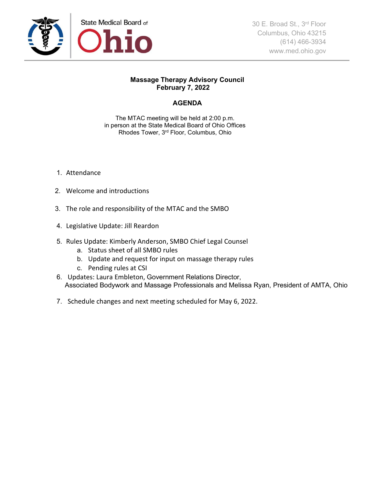

## **Massage Therapy Advisory Council February 7, 2022**

## **AGENDA**

The MTAC meeting will be held at 2:00 p.m. in person at the State Medical Board of Ohio Offices Rhodes Tower, 3rd Floor, Columbus, Ohio

- 1. Attendance
- 2. Welcome and introductions
- 3. The role and responsibility of the MTAC and the SMBO
- 4. Legislative Update: Jill Reardon
- 5. Rules Update: Kimberly Anderson, SMBO Chief Legal Counsel
	- a. Status sheet of all SMBO rules
	- b. Update and request for input on massage therapy rules
	- c. Pending rules at CSI
- 6. Updates: Laura Embleton, Government Relations Director, Associated Bodywork and Massage Professionals and Melissa Ryan, President of AMTA, Ohio
- 7. Schedule changes and next meeting scheduled for May 6, 2022.